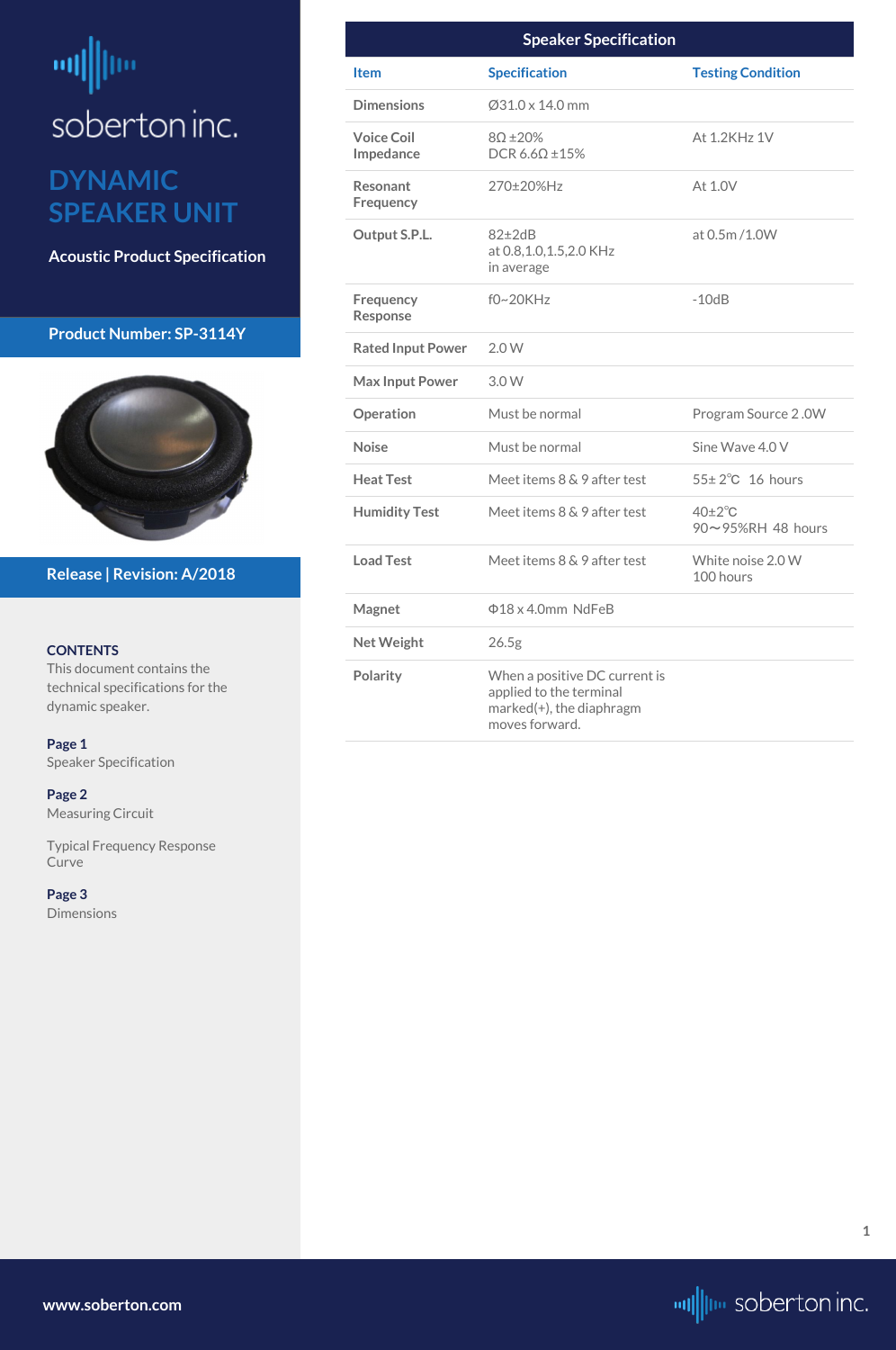# <span id="page-0-0"></span>m ļm soberton inc.

## **DYNAMIC SPEAKER UNIT**

**Acoustic Product Specification**

#### **Product Number: SP-3114Y**



#### **CONTENTS**

This document contains the technical specifications for the dynamic speaker.

**Page 1** Speaker Specification

**[Page 2](#page-1-0)** [Measuring Circuit](#page-1-0)

[Typical Frequency Response](#page-1-0)  [Curve](#page-1-0)

**[Page 3](#page-2-0)** [Dimensions](#page-2-0)

**Release | Revision: A/2018**

**[www.soberton.com](http://www.soberton.com)**



**1**

| <b>Speaker Specification</b>        |                                                                                                        |                                        |
|-------------------------------------|--------------------------------------------------------------------------------------------------------|----------------------------------------|
| <b>Item</b>                         | <b>Specification</b>                                                                                   | <b>Testing Condition</b>               |
| <b>Dimensions</b>                   | $\varnothing$ 31.0 x 14.0 mm                                                                           |                                        |
| <b>Voice Coil</b><br>Impedance      | $8\Omega \pm 20\%$<br>DCR 6.6 $\Omega$ ±15%                                                            | At 1.2KHz 1V                           |
| <b>Resonant</b><br>Frequency        | 270±20%Hz                                                                                              | At 1.0V                                |
| Output S.P.L.                       | $82 \pm 2dB$<br>at 0.8, 1.0, 1.5, 2.0 KHz<br>in average                                                | at 0.5m/1.0W                           |
| <b>Frequency</b><br><b>Response</b> | $f0~20$ KHz                                                                                            | $-10dB$                                |
| <b>Rated Input Power</b>            | 2.0W                                                                                                   |                                        |
| <b>Max Input Power</b>              | 3.0W                                                                                                   |                                        |
| Operation                           | Must be normal                                                                                         | Program Source 2.0W                    |
| <b>Noise</b>                        | Must be normal                                                                                         | Sine Wave 4.0 V                        |
| <b>Heat Test</b>                    | Meet items 8 & 9 after test                                                                            | $55\pm2\degree$ C 16 hours             |
| <b>Humidity Test</b>                | Meet items 8 & 9 after test                                                                            | $40\pm2\degree$ C<br>90~95%RH 48 hours |
| <b>Load Test</b>                    | Meet items 8 & 9 after test                                                                            | White noise 2.0 W<br>100 hours         |
| <b>Magnet</b>                       | $\Phi$ 18 x 4.0mm NdFeB                                                                                |                                        |
| <b>Net Weight</b>                   | 26.5 <sub>g</sub>                                                                                      |                                        |
| <b>Polarity</b>                     | When a positive DC current is<br>applied to the terminal<br>marked(+), the diaphragm<br>moves forward. |                                        |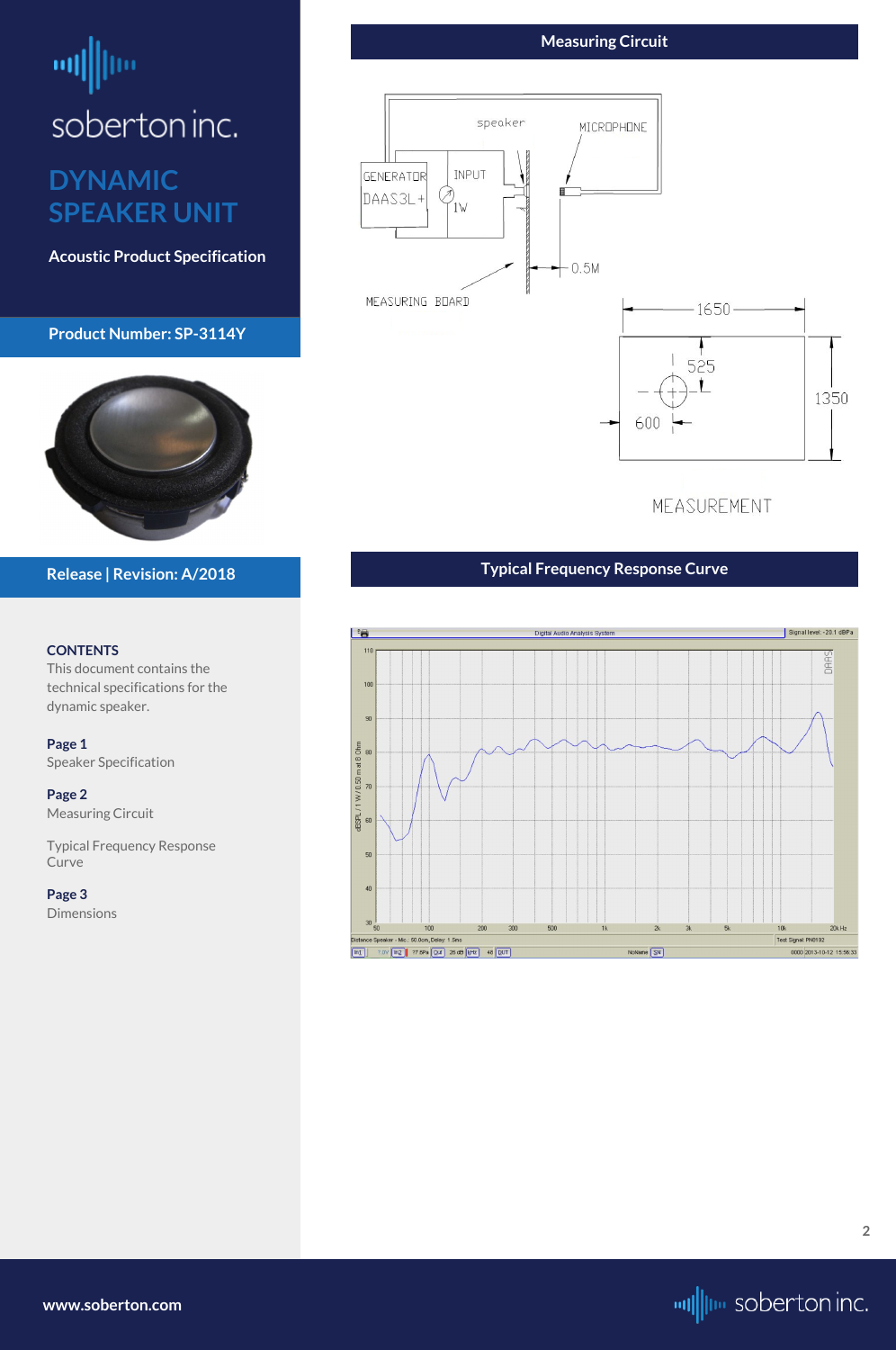# <span id="page-1-0"></span>ᆒ soberton inc.

# **DYNAMIC SPEAKER UNIT**

**Acoustic Product Specification**

#### **Product Number: SP-3114Y**



#### **CONTENTS**

This document contains the technical specifications for the dynamic speaker.

**[Page 1](#page-0-0)** [Speaker Specification](#page-0-0)

**Page 2** Measuring Circuit

Typical Frequency Response Curve

**[Page 3](#page-2-0)** [Dimensions](#page-2-0)

**Release | Revision: A/2018**

## **Measuring Circuit**



MEASUREMENT

**[www.soberton.com](http://www.soberton.com)**



## **Typical Frequency Response Curve**